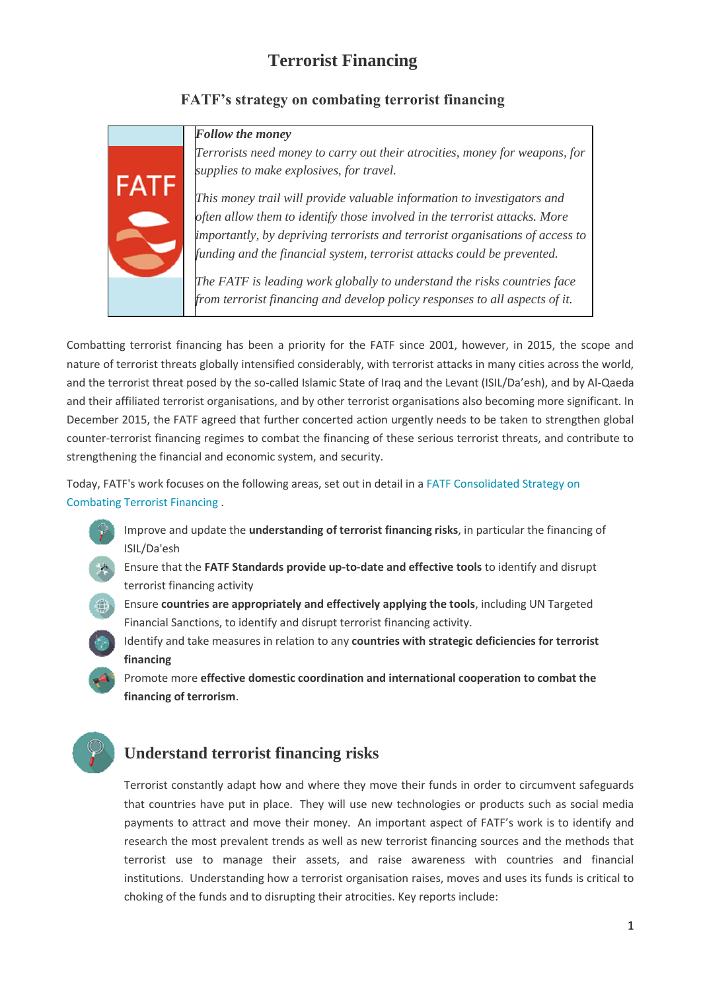# **Terrorist Financing**

### **FATF's strategy on combating terrorist financing**



FATF

*Terrorists need money to carry out their atrocities, money for weapons, for supplies to make explosives, for travel.*

*This money trail will provide valuable information to investigators and often allow them to identify those involved in the terrorist attacks. More importantly, by depriving terrorists and terrorist organisations of access to funding and the financial system, terrorist attacks could be prevented.*

*The FATF is leading work globally to understand the risks countries face from terrorist financing and develop policy responses to all aspects of it.*

Combatting terrorist financing has been a priority for the FATF since 2001, however, in 2015, the scope and nature of terrorist threats globally intensified considerably, with terrorist attacks in many cities across the world, and the terrorist threat posed by the so-called Islamic State of Iraq and the Levant (ISIL/Da'esh), and by Al-Qaeda and their affiliated terrorist organisations, and by other terrorist organisations also becoming more significant. In December 2015, the FATF agreed that further concerted action urgently needs to be taken to strengthen global counter-terrorist financing regimes to combat the financing of these serious terrorist threats, and contribute to strengthening the financial and economic system, and security.

Today, FATF's work focuses on the following areas, set out in detail in a [FATF Consolidated Strategy on](http://www.fatf-gafi.org/media/fatf/documents/reports/FATF-Terrorist-Financing-Strategy.pdf)  [Combating Terrorist Financing](http://www.fatf-gafi.org/media/fatf/documents/reports/FATF-Terrorist-Financing-Strategy.pdf) .

- Improve and update the **understanding of terrorist financing risks**, in particular the financing of ISIL/Da'esh
- Ensure that the **FATF Standards provide up-to-date and effective tools** to identify and disrupt terrorist financing activity
- Ensure **countries are appropriately and effectively applying the tools**, including UN Targeted Financial Sanctions, to identify and disrupt terrorist financing activity.
- Identify and take measures in relation to any **countries with strategic deficiencies for terrorist financing**

Promote more **effective domestic coordination and international cooperation to combat the financing of terrorism**.

# **Understand terrorist financing risks**

Terrorist constantly adapt how and where they move their funds in order to circumvent safeguards that countries have put in place. They will use new technologies or products such as social media payments to attract and move their money. An important aspect of FATF's work is to identify and research the most prevalent trends as well as new terrorist financing sources and the methods that terrorist use to manage their assets, and raise awareness with countries and financial institutions. Understanding how a terrorist organisation raises, moves and uses its funds is critical to choking of the funds and to disrupting their atrocities. Key reports include: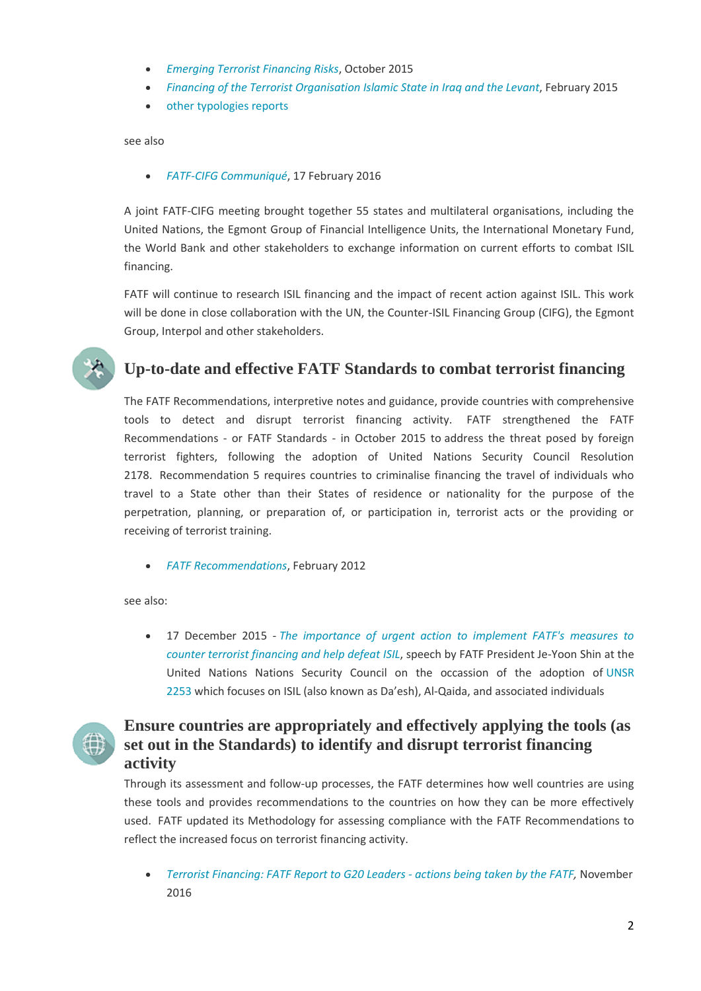- *[Emerging Terrorist Financing Risks](http://www.fatf-gafi.org/publications/methodsandtrends/documents/emerging-terrorist-financing-risks.html)*, October 2015
- *[Financing of the Terrorist Organisation Islamic State in Iraq and the Levant](http://www.fatf-gafi.org/publications/methodsandtrends/documents/financing-of-terrorist-organisation-isil.html)*, February 2015
- [other typologies reports](http://www.fatf-gafi.org/publications/methodsandtrends/documents/)

see also

*[FATF-CIFG Communiqué](http://www.fatf-gafi.org/publications/fatfgeneral/documents/fatf-cifg-communique-feb-2016.html)*, 17 February 2016

A joint FATF-CIFG meeting brought together 55 states and multilateral organisations, including the United Nations, the Egmont Group of Financial Intelligence Units, the International Monetary Fund, the World Bank and other stakeholders to exchange information on current efforts to combat ISIL financing.

FATF will continue to research ISIL financing and the impact of recent action against ISIL. This work will be done in close collaboration with the UN, the Counter-ISIL Financing Group (CIFG), the Egmont Group, Interpol and other stakeholders.



## **Up-to-date and effective FATF Standards to combat terrorist financing**

The FATF Recommendations, interpretive notes and guidance, provide countries with comprehensive tools to detect and disrupt terrorist financing activity. FATF strengthened the FATF Recommendations - or FATF Standards - in October 2015 to address the threat posed by foreign terrorist fighters, following the adoption of United Nations Security Council Resolution 2178. Recommendation 5 requires countries to criminalise financing the travel of individuals who travel to a State other than their States of residence or nationality for the purpose of the perpetration, planning, or preparation of, or participation in, terrorist acts or the providing or receiving of terrorist training.

*[FATF Recommendations](http://www.fatf-gafi.org/publications/fatfrecommendations/documents/fatf-recommendations.html)*, February 2012

see also:

 17 December 2015 - *[The importance of urgent action to implement FATF's measures to](http://www.fatf-gafi.org/publications/fatfgeneral/documents/importance-urgent-action-to-implement-fatf-standards-counter-terrorist-financing.html)  [counter terrorist financing and help defeat ISIL](http://www.fatf-gafi.org/publications/fatfgeneral/documents/importance-urgent-action-to-implement-fatf-standards-counter-terrorist-financing.html)*, speech by FATF President Je-Yoon Shin at the United Nations Nations Security Council on the occassion of the adoption of [UNSR](http://www.un.org/en/ga/search/view_doc.asp?symbol=S/RES/2253(2015))  [2253](http://www.un.org/en/ga/search/view_doc.asp?symbol=S/RES/2253(2015)) which focuses on ISIL (also known as Da'esh), Al-Qaida, and associated individuals



# **Ensure countries are appropriately and effectively applying the tools (as set out in the Standards) to identify and disrupt terrorist financing activity**

Through its assessment and follow-up processes, the FATF determines how well countries are using these tools and provides recommendations to the countries on how they can be more effectively used. FATF updated its Methodology for assessing compliance with the FATF Recommendations to reflect the increased focus on terrorist financing activity.

 *[Terrorist Financing: FATF Report to G20 Leaders -](http://www.fatf-gafi.org/publications/fatfrecommendations/documents/terrorist-financing-fatf-report-to-g20.html) actions being taken by the FATF,* November 2016